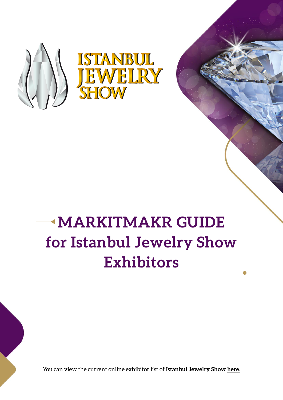

# **MARKITMAKR GUIDE for Istanbul Jewelry Show Exhibitors**

You can view the current online exhibitor list of **Istanbul Jewelry Show here**.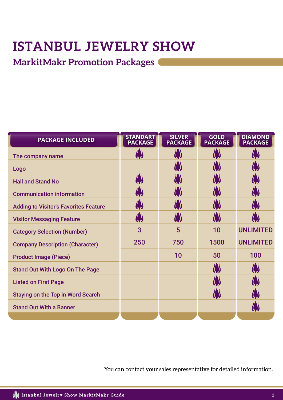# **ISTANBUL JEWELRY SHOW**

## **MarkitMakr Promotion Packages**

| <b>PACKAGE INCLUDED</b>                      | <b>STANDART</b><br><b>PACKAGE</b> | <b>SILVER</b><br><b>PACKAGE</b> | <b>GOLD</b><br><b>PACKAGE</b> | <b>DIAMOND</b><br><b>PACKAGE</b> |
|----------------------------------------------|-----------------------------------|---------------------------------|-------------------------------|----------------------------------|
| The company name                             |                                   |                                 |                               |                                  |
| Logo                                         |                                   |                                 |                               |                                  |
| <b>Hall and Stand No</b>                     | <b>AS</b>                         |                                 |                               |                                  |
| <b>Communication information</b>             | <b>( )</b>                        |                                 |                               |                                  |
| <b>Adding to Visitor's Favorites Feature</b> | ( )                               |                                 |                               |                                  |
| <b>Visitor Messaging Feature</b>             | ( )                               |                                 |                               |                                  |
| <b>Category Selection (Number)</b>           | 3                                 | 5                               | 10                            | <b>UNLIMITED</b>                 |
| <b>Company Description (Character)</b>       | 250                               | 750                             | 1500                          | <b>UNLIMITED</b>                 |
| <b>Product Image (Piece)</b>                 |                                   | 10                              | 50                            | 100                              |
| <b>Stand Out With Logo On The Page</b>       |                                   |                                 |                               |                                  |
| <b>Listed on First Page</b>                  |                                   |                                 |                               |                                  |
| <b>Staying on the Top in Word Search</b>     |                                   |                                 |                               |                                  |
| <b>Stand Out With a Banner</b>               |                                   |                                 |                               |                                  |
|                                              |                                   |                                 |                               |                                  |

You can contact your sales representative for detailed information.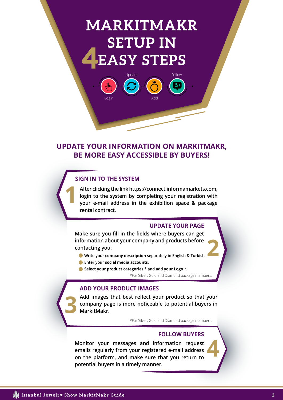# **MARKITMAKR SETUP IN 4EASY STEPS**

Update Follow

### **UPDATE YOUR INFORMATION ON MARKITMAKR, BE MORE EASY ACCESSIBLE BY BUYERS!**

#### **SIGN IN TO THE SYSTEM**

**1**

Logir

**After clicking the link https://connect.informamarkets.com, login to the system by completing your registration with your e-mail address in the exhibition space & package rental contract.**

#### **UPDATE YOUR PAGE**

**Make sure you fill in the fields where buyers can get information about your company and products before contacting you:**

- **2 Write your company description separately in English & Turkish,**
- **Enter your social media accounts,**
- \*For Silver, Gold and Diamond package members. **Select your product categories \* and add your Logo \*.**

#### **ADD YOUR PRODUCT IMAGES**

**Add images that best reflect your product so that your company page is more noticeable to potential buyers in MarkitMakr.**

\*For Silver, Gold and Diamond package members.

#### **FOLLOW BUYERS**

**4**

**Monitor your messages and information request emails regularly from your registered e-mail address on the platform, and make sure that you return to potential buyers in a timely manner.**

**3**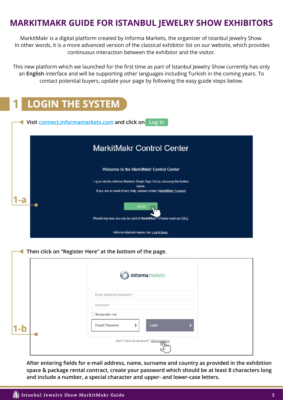### **MARKITMAKR GUIDE FOR ISTANBUL JEWELRY SHOW EXHIBITORS**

MarkitMakr is a digital platform created by Informa Markets, the organizer of Istanbul Jewelry Show. In other words, it is a more advanced version of the classical exhibitor list on our website, which provides continuous interaction between the exhibitor and the visitor.

This new platform which we launched for the first time as part of Istanbul Jewelry Show currently has only an **English** interface and will be supporting other languages including Turkish in the coming years. To contact potential buyers, update your page by following the easy guide steps below.

| <b>LOGIN THE SYSTEM</b>                                                                                                                            |
|----------------------------------------------------------------------------------------------------------------------------------------------------|
| Visit connect.informamarkets.com and click on Log In                                                                                               |
| <b>MarkitMakr Control Center</b>                                                                                                                   |
| Welcome to the MarkitMakr Control Center                                                                                                           |
| Log in via the Informa Markets Single Sign-On by choosing the button<br>below<br>If you are in need of any help, please contact MarkitMakr Support |
| Log In                                                                                                                                             |
| Wondering how you can be part of MarkitMakr? Please read our FAQ.<br>Informa Markets teams can Log In here                                         |
| Then click on "Register Here" at the bottom of the page.                                                                                           |

|         | informa markets                                          |
|---------|----------------------------------------------------------|
|         | Email Address/Username *                                 |
|         | Password *<br>Remember me                                |
| $1 - 5$ | Login<br>Forgot Password                                 |
|         | Don't have an account? Register here<br>$\omega_{\rm m}$ |

**After entering fields for e-mail address, name, surname and country as provided in the exhibition space & package rental contract, create your password which should be at least 8 characters long and include a number, a special character and upper- and lower-case letters.**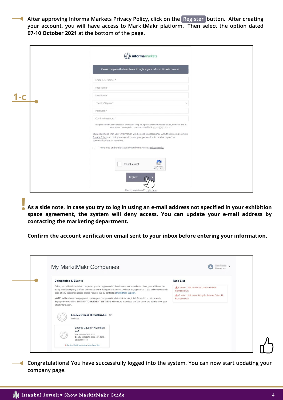**After approving Informa Markets Privacy Policy, click on the Register button. After creating your account, you will have access to MarkitMakr platform. Then select the option dated 07-10 October 2021 at the bottom of the page.**

|       | informa markets                                                                                                                                                                                                                                                                                                                                                                                                                                                          |
|-------|--------------------------------------------------------------------------------------------------------------------------------------------------------------------------------------------------------------------------------------------------------------------------------------------------------------------------------------------------------------------------------------------------------------------------------------------------------------------------|
|       | Please complete the form below to register your Informa Markets account.                                                                                                                                                                                                                                                                                                                                                                                                 |
|       | Email (Username) *                                                                                                                                                                                                                                                                                                                                                                                                                                                       |
|       | First Name*                                                                                                                                                                                                                                                                                                                                                                                                                                                              |
| $1-c$ | Last Name*                                                                                                                                                                                                                                                                                                                                                                                                                                                               |
|       | Country/Region *<br>$\checkmark$                                                                                                                                                                                                                                                                                                                                                                                                                                         |
|       | Password *                                                                                                                                                                                                                                                                                                                                                                                                                                                               |
|       | Confirm Password *                                                                                                                                                                                                                                                                                                                                                                                                                                                       |
|       | Your password must be at least 8 characters long. Your password must include letters, numbers and at<br>least one of these special characters: !@#\$%^&*()_+-={}[]\ ;;',.?/'-><"<br>You understand that your information will be used in accordance with the Informa Markets<br>Privacy Policy and that you may withdraw your permission to receive any of our<br>communications at any time.<br>I have read and understood the Informa Markets Privacy Policy<br>$\Box$ |
|       | I'm not a robot<br>reCAPTCHA<br>Privacy - Terms                                                                                                                                                                                                                                                                                                                                                                                                                          |
|       | Register                                                                                                                                                                                                                                                                                                                                                                                                                                                                 |
|       | Already registered? Login here                                                                                                                                                                                                                                                                                                                                                                                                                                           |

**As a side note, in case you try to log in using an e-mail address not specified in your exhibition space agreement, the system will deny access. You can update your e-mail address by contacting the marketing department. !**

**Confirm the account verification email sent to your inbox before entering your information.**

| My MarkitMakr Companies                                                                                                                                                                                                                                                                                                                                                         |                                                                       |
|---------------------------------------------------------------------------------------------------------------------------------------------------------------------------------------------------------------------------------------------------------------------------------------------------------------------------------------------------------------------------------|-----------------------------------------------------------------------|
| <b>Companies &amp; Events</b>                                                                                                                                                                                                                                                                                                                                                   | <b>Task List</b>                                                      |
| Below, you will find the list of companies you have given administrative access to maintain. Here, you will have the<br>ability to edit company profiles, associated event listing details and view visitor engagements. If you believe you are in                                                                                                                              | Confirm / edit profile for Loomis Gvenlik<br>Hizmetleri A.S.          |
| need of any additional access please request this by contacting MarkitMakr Support.<br>NOTE: While we encourage you to update your company details for future use, this information is not currently<br>displayed on our sites. EDITING YOUR EVENT LISTINGS will ensure attendees and site users are able to view your<br>latest information.<br>Loomis Gvenlik Hizmetleri A.S. | 4 Confirm / edit event listing for Loomis Güvenlik<br>Hizmetleri A.S. |
| Website:<br>Loomis Güvenlik Hizmetleri<br>A.S.<br>March 25 - March 28, 2021<br>Booth: ec0ad246-dbca-4c9f-8b16-<br>c8789956d139                                                                                                                                                                                                                                                  |                                                                       |

**Congratulations! You have successfully logged into the system. You can now start updating your company page.**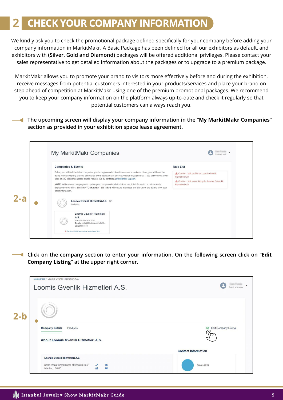## **2 CHECK YOUR COMPANY INFORMATION**

We kindly ask you to check the promotional package defined specifically for your company before adding your company information in MarkitMakr. A Basic Package has been defined for all our exhibitors as default, and exhibitors with **(Silver, Gold and Diamond)** packages will be offered additional privileges. Please contact your sales representative to get detailed information about the packages or to upgrade to a premium package.

MarkitMakr allows you to promote your brand to visitors more effectively before and during the exhibition, receive messages from potential customers interested in your products/services and place your brand on step ahead of competition at MarkitMakr using one of the premium promotional packages. We recommend you to keep your company information on the platform always up-to-date and check it regularly so that potential customers can always reach you.

**The upcoming screen will display your company information in the "My MarkitMakr Companies" section as provided in your exhibition space lease agreement.**

| My MarkitMakr Companies                                                                                                                                                                                                                                                                                                                       | Company use                                                           |
|-----------------------------------------------------------------------------------------------------------------------------------------------------------------------------------------------------------------------------------------------------------------------------------------------------------------------------------------------|-----------------------------------------------------------------------|
| <b>Companies &amp; Events</b>                                                                                                                                                                                                                                                                                                                 | <b>Task List</b>                                                      |
| Below, you will find the list of companies you have given administrative access to maintain. Here, you will have the<br>ability to edit company profiles, associated event listing details and view visitor engagements. If you believe you are in                                                                                            | Confirm / edit profile for Loomis Gvenlik<br>Hizmetleri A.S.          |
| need of any additional access please request this by contacting MarkitMakr Support.<br>NOTE: While we encourage you to update your company details for future use, this information is not currently<br>displayed on our sites. EDITING YOUR EVENT LISTINGS will ensure attendees and site users are able to view your<br>latest information. | 4 Confirm / edit event listing for Loomis Güvenlik<br>Hizmetleri A.S. |
| Loomis Gvenlik Hizmetleri A.S.<br>Website:                                                                                                                                                                                                                                                                                                    |                                                                       |
| Loomis Güvenlik Hizmetleri<br>A.S.<br>March 25 - March 28, 2021                                                                                                                                                                                                                                                                               |                                                                       |

**Click on the company section to enter your information. On the following screen click on "Edit Company Listing" at the upper right corner.**

|         | Companies > Loomis Gvenlik Hizmetleri A.S.<br>Loomis Gvenlik Hizmetleri A.S.                                                       | Brand manag                                   |
|---------|------------------------------------------------------------------------------------------------------------------------------------|-----------------------------------------------|
| $ 2-b $ |                                                                                                                                    |                                               |
|         | <b>Company Details</b><br>Products<br>About Loomis Gvenlik Hizmetleri A.S.                                                         | <b>Edit Company Listing</b><br>$\overline{z}$ |
|         | Loomis Gvenlik Hizmetleri A.S.<br>Smart PlazaRuzgarlibahce M.Kavak S.No:31<br>$\overline{\mathbf{X}}$<br>曲<br>圖<br>Istanbul, 34805 | <b>Contact Information</b><br>Savas Çelik     |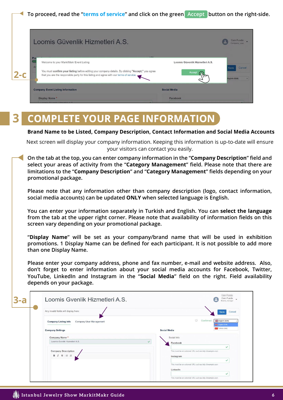



#### **COMPLETE YOUR PAGE INFORMATION 3**

#### **Brand Name to be Listed, Company Description, Contact Information and Social Media Accounts**

Next screen will display your company information. Keeping this information is up-to-date will ensure your visitors can contact you easily.

**On the tab at the top, you can enter company information in the "Company Description" field and select your areas of activity from the "Category Management" field. Please note that there are limitations to the "Company Description" and "Category Management" fields depending on your promotional package.**

**Please note that any information other than company description (logo, contact information, social media accounts) can be updated ONLY when selected language is English.**

**You can enter your information separately in Turkish and English. You can select the language from the tab at the upper right corner. Please note that availability of information fields on this screen vary depending on your promotional package.** 

**"Display Name" will be set as your company/brand name that will be used in exhibition promotions. 1 Display Name can be defined for each participant. It is not possible to add more than one Display Name.** 

**Please enter your company address, phone and fax number, e-mail and website address. Also, don't forget to enter information about your social media accounts for Facebook, Twitter, YouTube, LinkedIn and Instagram in the "Social Media" field on the right. Field availability depends on your package.** 

| $3- a$ | Loomis Gvenlik Hizmetleri A.S.                         | Cem Funda<br><b>Brand manager</b>                                              |
|--------|--------------------------------------------------------|--------------------------------------------------------------------------------|
|        | Any invalid fields will display here:                  | Cancel<br>Save                                                                 |
|        | <b>Company Listing Info</b><br>Company User Management | $\Box$<br>Confirmed<br>English (Edit)<br>Set English (Edit)<br>C Turkish (Add) |
|        | <b>Company Settings</b>                                | <b>Social Media</b>                                                            |
|        | Company Name*<br>Loomis Gvenlik Hizmetleri A.S.        | Social Info<br>$\checkmark$                                                    |
|        |                                                        | Facebook<br>✓                                                                  |
|        | <b>Company Description</b>                             | This must be an external URL such as http://example.com.                       |
|        |                                                        | Instagram                                                                      |
|        |                                                        | ✓<br>This must be an external URL such as http://example.com.                  |
|        |                                                        | LinkedIn                                                                       |
|        |                                                        |                                                                                |
|        |                                                        | This must be an external URL such as http://example.com.                       |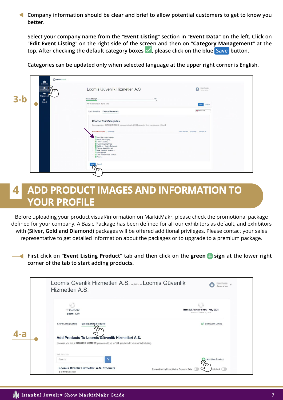**Company information should be clear and brief to allow potential customers to get to know you better.**

**Select your company name from the "Event Listing" section in "Event Data" on the left. Click on "Edit Event Listing" on the right side of the screen and then on "Category Management" at the**  top. After checking the default category boxes  $\checkmark$  , please click on the blue <mark>Save button.</mark>

**Categories can be updated only when selected language at the upper right corner is English.** 

| 自<br>Companies<br>曲<br><b>Event Listings</b><br>盾 | O informamentes<br>m | Loomis Güvenlik Hizmetleri A.S.                                                                                                                                                                                                                                                                   | $\begin{picture}(20,10) \put(0,0){\line(1,0){10}} \put(15,0){\line(1,0){10}} \put(15,0){\line(1,0){10}} \put(15,0){\line(1,0){10}} \put(15,0){\line(1,0){10}} \put(15,0){\line(1,0){10}} \put(15,0){\line(1,0){10}} \put(15,0){\line(1,0){10}} \put(15,0){\line(1,0){10}} \put(15,0){\line(1,0){10}} \put(15,0){\line(1,0){10}} \put(15,0){\line(1$ |
|---------------------------------------------------|----------------------|---------------------------------------------------------------------------------------------------------------------------------------------------------------------------------------------------------------------------------------------------------------------------------------------------|-----------------------------------------------------------------------------------------------------------------------------------------------------------------------------------------------------------------------------------------------------------------------------------------------------------------------------------------------------|
| Engagement<br><b>3-b</b><br>$\bullet$<br>Logout   |                      | 15%<br><b>Profile Strength</b><br>Any invalid fields will display here:                                                                                                                                                                                                                           | Save<br>Cancel                                                                                                                                                                                                                                                                                                                                      |
|                                                   |                      | Event Listing Info<br><b>Category Management</b><br><b>Choose Your Categories</b>                                                                                                                                                                                                                 | <b>SEI</b> English (Edit)                                                                                                                                                                                                                                                                                                                           |
|                                                   |                      | Because you are a DIAMOND MEMBER, you can select up to 500000 categories where your company will found.<br>10 of 500000 Selected Unselect All                                                                                                                                                     | Show Selected Expand All Collapse All                                                                                                                                                                                                                                                                                                               |
|                                                   |                      | Antique & Vintage Jewelry<br>Display & Packaging<br>> El Finished Jewelry<br><b>El Jewelry Mounting/Parts</b><br>> Machinery / Tools & Equipment<br>Precious Metals/Refinery<br>> Ca Silver Jewelry & Silverware<br>> Stone & Pearl<br><sup>&gt;</sup> Trade Publications & Services<br>> Watches |                                                                                                                                                                                                                                                                                                                                                     |
|                                                   |                      | Cancel<br>Saw<br>$\psi_{\rm m}$                                                                                                                                                                                                                                                                   |                                                                                                                                                                                                                                                                                                                                                     |

## **4 ADD PRODUCT IMAGES AND INFORMATION TO YOUR PROFILE**

| <b>YOUR PROFILE</b>                                                                         | Before uploading your product visual/information on MarkitMakr, please check the promotional package                                                                                                           |
|---------------------------------------------------------------------------------------------|----------------------------------------------------------------------------------------------------------------------------------------------------------------------------------------------------------------|
|                                                                                             | defined for your company. A Basic Package has been defined for all our exhibitors as default, and exhibitors                                                                                                   |
|                                                                                             | with (Silver, Gold and Diamond) packages will be offered additional privileges. Please contact your sales<br>representative to get detailed information about the packages or to upgrade to a premium package. |
|                                                                                             |                                                                                                                                                                                                                |
|                                                                                             | First click on "Event Listing Product" tab and then click on the green bign at the lower right                                                                                                                 |
| corner of the tab to start adding products.                                                 |                                                                                                                                                                                                                |
|                                                                                             |                                                                                                                                                                                                                |
| Loomis Gvenlik Hizmetleri A.S. exhibiting as Loomis Güvenlik<br>Hizmetleri A.S.             |                                                                                                                                                                                                                |
|                                                                                             |                                                                                                                                                                                                                |
|                                                                                             |                                                                                                                                                                                                                |
| <b>DIAMOND</b>                                                                              | Istanbul Jewelry Show - May 2021                                                                                                                                                                               |
| <b>Booth: 1L60</b>                                                                          | March 25 - March 28, 2021                                                                                                                                                                                      |
| <b>Event Listing Details</b><br><b>Event Listing Products</b>                               | Edit Event Listing                                                                                                                                                                                             |
| Add Products To Loomis Güvenlik Hizmetleri A.S.                                             |                                                                                                                                                                                                                |
| Because you are a DIAMOND MEMBER you can add up to 100, products to your exhibitor listing. |                                                                                                                                                                                                                |
| Find Products<br>Search                                                                     | <b>Add New Product</b>                                                                                                                                                                                         |
| Loomis Gvenlik Hizmetleri A.S. Products<br>0 of 100 Selected                                | blished (<br>Show Added to Event Listing Products Only                                                                                                                                                         |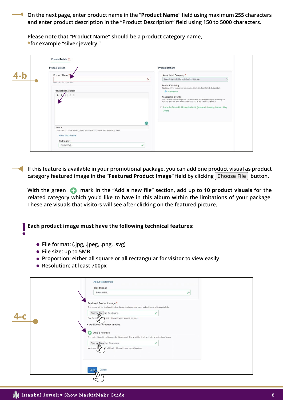**On the next page, enter product name in the "Product Name" field using maximum 255 characters and enter product description in the "Product Description" field using 150 to 5000 characters.**

**Please note that "Product Name" should be a product category name, \*for example "silver jewelry."**

| <b>Product Details</b>                                                     | <b>Product Options</b>                                                                                                                                                                                                                                                                                                                                                                                                  |
|----------------------------------------------------------------------------|-------------------------------------------------------------------------------------------------------------------------------------------------------------------------------------------------------------------------------------------------------------------------------------------------------------------------------------------------------------------------------------------------------------------------|
| Product Name*                                                              | <b>Associated Company*</b>                                                                                                                                                                                                                                                                                                                                                                                              |
| Maximum 255 characters                                                     | $\circledcirc$<br>Loomis Gvenlik Hizmetleri A.S. (285106)                                                                                                                                                                                                                                                                                                                                                               |
| <b>Product Description</b><br>$u := x$<br>$B$ $I$                          | <b>Product Visibility</b><br>If published, this product will be visible publicly. Uncheck to hide this product.<br><b>Z</b> Published<br><b>Associated Events</b><br>Which events should this product be associated with? Depending on event or your<br>exhibitor package level, the number of products you can add may vary.<br>□ Loomis Güvenlik Hizmetleri A.S. (Istanbul Jewelry Show - May<br>2021)<br>$\mathbf C$ |
| body p                                                                     |                                                                                                                                                                                                                                                                                                                                                                                                                         |
| Minimum 150 characters suggested. Maximum 5000 characters. Remaining: 5000 |                                                                                                                                                                                                                                                                                                                                                                                                                         |
| About text formats                                                         |                                                                                                                                                                                                                                                                                                                                                                                                                         |
| <b>Text format</b>                                                         |                                                                                                                                                                                                                                                                                                                                                                                                                         |
| Basic HTML                                                                 | v                                                                                                                                                                                                                                                                                                                                                                                                                       |

**If this feature is available in your promotional package, you can add one product visual as product category featured image in the "Featured Product Image" field by clicking| Choose File | button.** 

With the green **+ mark In the "Add a new file" section, add up to 10 product visuals for the related category which you'd like to have in this album within the limitations of your package. These are visuals that visitors will see after clicking on the featured picture.** 

**Each product image must have the following technical features:**

- **File format: (.jpg, .jpeg, .png, .svg)**
- **File size: up to 5MB**

**!**

- **Proportion: either all square or all rectangular for visitor to view easily**
- **Resolution: at least 700px**

|       | About text formats<br><b>Text format</b><br>Basic HTML<br>W                                                                                                                                            |
|-------|--------------------------------------------------------------------------------------------------------------------------------------------------------------------------------------------------------|
| $4-c$ | Featured Product Image *<br>This image will be displayed first on the product page and used as the thumbnail image in lists.<br>Choose File No file chosen<br>$\checkmark$                             |
|       | One file only maint. Allowed types: png gif jpg jpeg.<br>▼ Additional Product Images<br>Add a new file<br>C)                                                                                           |
|       | Add up to 10 additional images for this product. These will be displayed after your featured image.<br>Choose Files No file chosen<br>✓<br>Maximum 10 \\\ 5 MB limit. Allowed types: png gif jpg jpeg. |
|       | Cancel<br><b>Save</b>                                                                                                                                                                                  |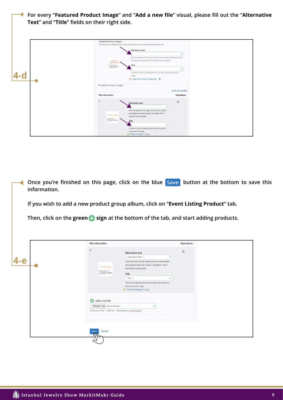**For every "Featured Product Image" and "Add a new file" visual, please fill out the "Alternative**  ◀ **Text" and "Title" fields on their right side.**  Featured Product Image ct page and used as the thumbnail image in lists Alternative text  $\checkmark$ hort description of the image used by screen readers and o

|   | $\begin{tabular}{ c c c c c } \hline $1000$ & $1000$ & $1000$ \\ \hline $10000$ & $10000$ & $10000$ \\ \hline \end{tabular}$ | Title<br>The title is used as a tool tip when the user hovers the mouse over the<br>image.<br>■ Featured Product Image.png 面                                                                                                                                                            |                                |
|---|------------------------------------------------------------------------------------------------------------------------------|-----------------------------------------------------------------------------------------------------------------------------------------------------------------------------------------------------------------------------------------------------------------------------------------|--------------------------------|
|   | <b>v</b> Additional Product Images<br>File information                                                                       |                                                                                                                                                                                                                                                                                         | Show row weights<br>Operations |
| 呼 | Product Image<br>Considered Life day and 140                                                                                 | Alternative text<br>Short description of the image used by screen readers<br>and displayed when the image is not loaded. This is<br>important for accessibility.<br>Title<br>The title is used as a tool tip when the user hovers the<br>mouse over the image.<br>Product Image (1) png | 面                              |

**Once you're finished on this page, click on the blue Save button at the bottom to save this**  $\blacktriangleleft$ **information.**

**If you wish to add a new product group album, click on "Event Listing Product" tab.** 

Then, click on the green **+** sign at the bottom of the tab, and start adding products.

|       | File information                                                                                                                                                                                                                                                                                                                                                                                                                                                                                                                   |                                                                                                                                                       | Operations |
|-------|------------------------------------------------------------------------------------------------------------------------------------------------------------------------------------------------------------------------------------------------------------------------------------------------------------------------------------------------------------------------------------------------------------------------------------------------------------------------------------------------------------------------------------|-------------------------------------------------------------------------------------------------------------------------------------------------------|------------|
|       | $\div$                                                                                                                                                                                                                                                                                                                                                                                                                                                                                                                             | <b>Alternative text</b>                                                                                                                               | 面          |
|       |                                                                                                                                                                                                                                                                                                                                                                                                                                                                                                                                    | Alternative Text - 1<br>✓                                                                                                                             |            |
| $4-e$ | <b>Product Image</b><br>$\begin{array}{l} \mbox{climorphism on } \rho\eta \quad \mbox{on} \quad \mbox{reg} \\ \mbox{climianness between $0$} \\ \mbox{climianness between $0$} \\ \mbox{of } \rho\mbox{-modualness} \\ \mbox{of } \rho\mbox{-modualness} \\ \mbox{of } \rho\mbox{-modualness} \\ \mbox{of } \rho\mbox{-modualness} \\ \mbox{of } \rho\mbox{-modualness} \\ \mbox{of } \rho\mbox{-modualness} \\ \mbox{of } \rho\mbox{-modualness} \\ \mbox{of } \rho\mbox{-modualness} \\ \mbox{of } \rho\mbox{-modualness} \\ \m$ | Short description of the image used by screen readers<br>and displayed when the image is not loaded. This is<br>important for accessibility.<br>Title |            |
|       |                                                                                                                                                                                                                                                                                                                                                                                                                                                                                                                                    | $Title - 1$                                                                                                                                           |            |
|       |                                                                                                                                                                                                                                                                                                                                                                                                                                                                                                                                    | The title is used as a tool tip when the user hovers the<br>mouse over the image.<br>Product Image (1).png                                            |            |
|       | Add a new file<br>Choose Files No file chosen                                                                                                                                                                                                                                                                                                                                                                                                                                                                                      | ✓                                                                                                                                                     |            |
|       | Maximum 10 files. 5 MB limit. Allowed types: png gif jpg jpeg.                                                                                                                                                                                                                                                                                                                                                                                                                                                                     |                                                                                                                                                       |            |
|       | Cancel<br>Save                                                                                                                                                                                                                                                                                                                                                                                                                                                                                                                     |                                                                                                                                                       |            |
|       | $\gamma$                                                                                                                                                                                                                                                                                                                                                                                                                                                                                                                           |                                                                                                                                                       |            |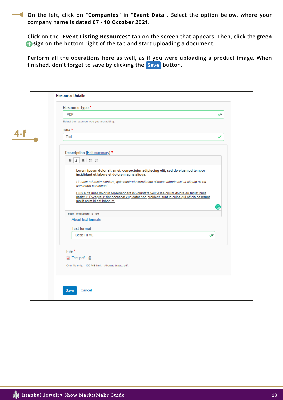**On the left, click on "Companies" in "Event Data". Select the option below, where your company name is dated 07 - 10 October 2021.**

**Click on the "Event Listing Resources" tab on the screen that appears. Then, click the green**   $\bullet$  **sign** on the bottom right of the tab and start uploading a document.

**Perform all the operations here as well, as if you were uploading a product image. When finished, don't forget to save by clicking the Save button. Save**

|     | Resource Type *<br><b>PDF</b><br>ىپ<br>Select the resource type you are adding.                                                                                                                                                                                                                                                                                                                                                                                                                                                                                                                                                                                      |
|-----|----------------------------------------------------------------------------------------------------------------------------------------------------------------------------------------------------------------------------------------------------------------------------------------------------------------------------------------------------------------------------------------------------------------------------------------------------------------------------------------------------------------------------------------------------------------------------------------------------------------------------------------------------------------------|
| 4-f | Title *<br><b>Test</b><br>✓                                                                                                                                                                                                                                                                                                                                                                                                                                                                                                                                                                                                                                          |
|     | Description (Edit summary) *<br>$\underline{U}$ : $\equiv$ $\equiv$<br>в<br>Ι<br>Lorem ipsum dolor sit amet, consectetur adipiscing elit, sed do eiusmod tempor<br>incididunt ut labore et dolore magna aliqua.<br>Ut enim ad minim veniam, quis nostrud exercitation ullamco laboris nisi ut aliquip ex ea<br>commodo consequat.<br>Duis aute irure dolor in reprehenderit in voluptate velit esse cillum dolore eu fugiat nulla<br>pariatur. Excepteur sint occaecat cupidatat non proident, sunt in culpa qui officia deserunt<br>mollit anim id est laborum.<br>G<br>body blockquote p em<br>About text formats<br><b>Text format</b><br><b>Basic HTML</b><br>عی |
|     | File <sup>*</sup><br><b>d</b> Test.pdf 面<br>One file only. 100 MB limit. Allowed types: pdf.<br>Cancel<br><b>Save</b>                                                                                                                                                                                                                                                                                                                                                                                                                                                                                                                                                |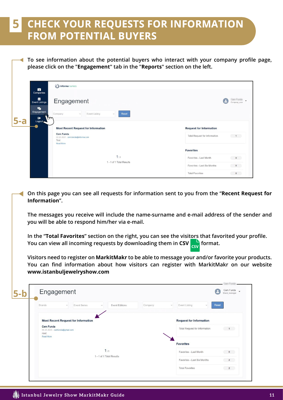### **CHECK YOUR REQUESTS FOR INFORMATION FROM POTENTIAL BUYERS 5**

**To see information about the potential buyers who interact with your company profile page, please click on the "Engagement" tab in the "Reports" section on the left.**

| ù<br>Companies                                                                                                                                                 | (O) informamarkets                                                  |                                                                                          |
|----------------------------------------------------------------------------------------------------------------------------------------------------------------|---------------------------------------------------------------------|------------------------------------------------------------------------------------------|
| Event Listings<br>私<br>Engagement                                                                                                                              | Engagement<br>Event Listing<br>Reset<br>Company<br>$\vee$<br>$\sim$ | Company use                                                                              |
| $\bullet$<br>m<br>$5-a$<br>Logout<br><b>Most Recent Request for Information</b><br><b>Cem Funda</b><br>02-25-2021 - cem.funda@informa.com<br>Test<br>Read More |                                                                     | <b>Request for Information</b><br><b>Total Request for Information</b><br>$\blacksquare$ |
|                                                                                                                                                                | 111<br>1 - 1 of 1 Total Results                                     | <b>Favorites</b><br>Favorites - Last Month<br>a.<br>$\bullet$                            |
|                                                                                                                                                                |                                                                     | Favorites - Last Six Months<br>$\bullet$<br><b>Total Favorites</b><br>$\bullet$          |

**On this page you can see all requests for information sent to you from the "Recent Request for Information".** 

**The messages you receive will include the name-surname and e-mail address of the sender and you will be able to respond him/her via e-mail.**

**In the "Total Favorites" section on the right, you can see the visitors that favorited your profile.** You can view all incoming requests by downloading them in CSV **format.** 

**Visitors need to register on MarkitMakr to be able to message your and/or favorite your products. You can find information about how visitors can register with MarkitMakr on our website www.istanbuljewelryshow.com**